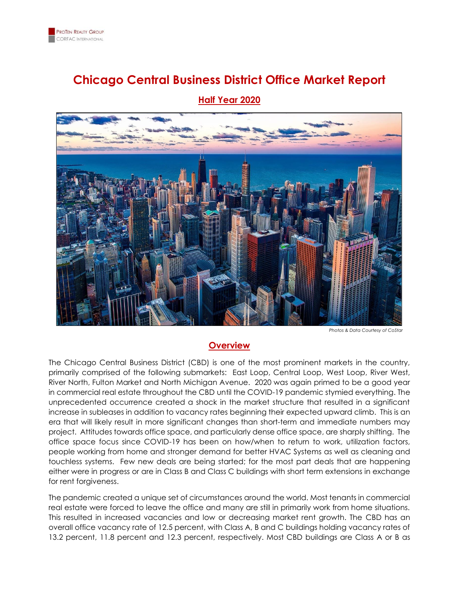

# **Chicago Central Business District Office Market Report**



**Half Year 2020**

*Photos & Data Courtesy of CoStar*

#### **Overview**

The Chicago Central Business District (CBD) is one of the most prominent markets in the country, primarily comprised of the following submarkets: East Loop, Central Loop, West Loop, River West, River North, Fulton Market and North Michigan Avenue. 2020 was again primed to be a good year in commercial real estate throughout the CBD until the COVID-19 pandemic stymied everything. The unprecedented occurrence created a shock in the market structure that resulted in a significant increase in subleases in addition to vacancy rates beginning their expected upward climb. This is an era that will likely result in more significant changes than short-term and immediate numbers may project. Attitudes towards office space, and particularly dense office space, are sharply shifting. The office space focus since COVID-19 has been on how/when to return to work, utilization factors, people working from home and stronger demand for better HVAC Systems as well as cleaning and touchless systems. Few new deals are being started; for the most part deals that are happening either were in progress or are in Class B and Class C buildings with short term extensions in exchange for rent forgiveness.

The pandemic created a unique set of circumstances around the world. Most tenants in commercial real estate were forced to leave the office and many are still in primarily work from home situations. This resulted in increased vacancies and low or decreasing market rent growth. The CBD has an overall office vacancy rate of 12.5 percent, with Class A, B and C buildings holding vacancy rates of 13.2 percent, 11.8 percent and 12.3 percent, respectively. Most CBD buildings are Class A or B as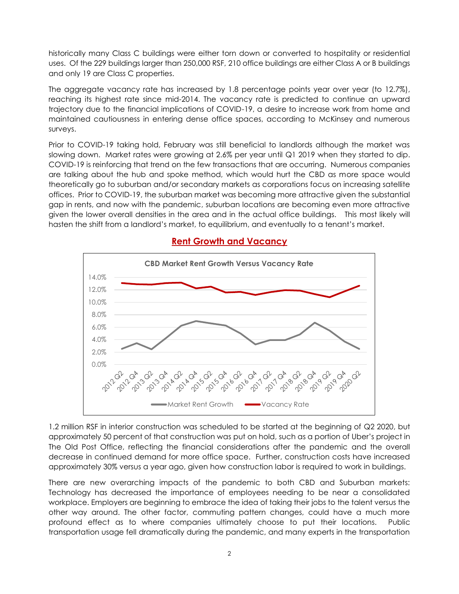historically many Class C buildings were either torn down or converted to hospitality or residential uses. Of the 229 buildings larger than 250,000 RSF, 210 office buildings are either Class A or B buildings and only 19 are Class C properties.

The aggregate vacancy rate has increased by 1.8 percentage points year over year (to 12.7%), reaching its highest rate since mid-2014. The vacancy rate is predicted to continue an upward trajectory due to the financial implications of COVID-19, a desire to increase work from home and maintained cautiousness in entering dense office spaces, according to McKinsey and numerous surveys.

Prior to COVID-19 taking hold, February was still beneficial to landlords although the market was slowing down. Market rates were growing at 2.6% per year until Q1 2019 when they started to dip. COVID-19 is reinforcing that trend on the few transactions that are occurring. Numerous companies are talking about the hub and spoke method, which would hurt the CBD as more space would theoretically go to suburban and/or secondary markets as corporations focus on increasing satellite offices. Prior to COVID-19, the suburban market was becoming more attractive given the substantial gap in rents, and now with the pandemic, suburban locations are becoming even more attractive given the lower overall densities in the area and in the actual office buildings. This most likely will hasten the shift from a landlord's market, to equilibrium, and eventually to a tenant's market.



## **Rent Growth and Vacancy**

1.2 million RSF in interior construction was scheduled to be started at the beginning of Q2 2020, but approximately 50 percent of that construction was put on hold, such as a portion of Uber's project in The Old Post Office, reflecting the financial considerations after the pandemic and the overall decrease in continued demand for more office space. Further, construction costs have increased approximately 30% versus a year ago, given how construction labor is required to work in buildings.

There are new overarching impacts of the pandemic to both CBD and Suburban markets: Technology has decreased the importance of employees needing to be near a consolidated workplace. Employers are beginning to embrace the idea of taking their jobs to the talent versus the other way around. The other factor, commuting pattern changes, could have a much more profound effect as to where companies ultimately choose to put their locations. Public transportation usage fell dramatically during the pandemic, and many experts in the transportation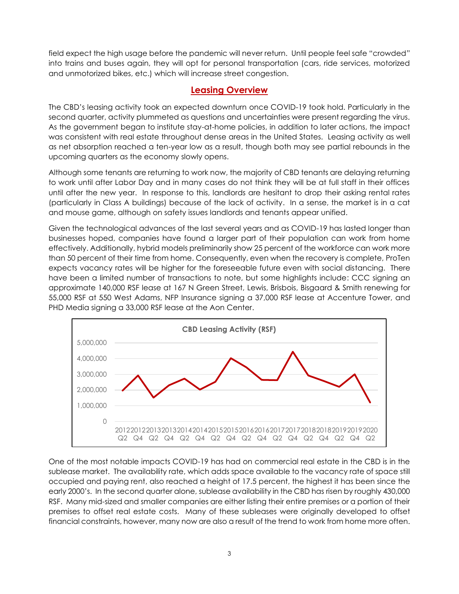field expect the high usage before the pandemic will never return. Until people feel safe "crowded" into trains and buses again, they will opt for personal transportation (cars, ride services, motorized and unmotorized bikes, etc.) which will increase street congestion.

### **Leasing Overview**

The CBD's leasing activity took an expected downturn once COVID-19 took hold. Particularly in the second quarter, activity plummeted as questions and uncertainties were present regarding the virus. As the government began to institute stay-at-home policies, in addition to later actions, the impact was consistent with real estate throughout dense areas in the United States. Leasing activity as well as net absorption reached a ten-year low as a result, though both may see partial rebounds in the upcoming quarters as the economy slowly opens.

Although some tenants are returning to work now, the majority of CBD tenants are delaying returning to work until after Labor Day and in many cases do not think they will be at full staff in their offices until after the new year. In response to this, landlords are hesitant to drop their asking rental rates (particularly in Class A buildings) because of the lack of activity. In a sense, the market is in a cat and mouse game, although on safety issues landlords and tenants appear unified.

Given the technological advances of the last several years and as COVID-19 has lasted longer than businesses hoped, companies have found a larger part of their population can work from home effectively. Additionally, hybrid models preliminarily show 25 percent of the workforce can work more than 50 percent of their time from home. Consequently, even when the recovery is complete, ProTen expects vacancy rates will be higher for the foreseeable future even with social distancing. There have been a limited number of transactions to note, but some highlights include: CCC signing an approximate 140,000 RSF lease at 167 N Green Street, Lewis, Brisbois, Bisgaard & Smith renewing for 55,000 RSF at 550 West Adams, NFP Insurance signing a 37,000 RSF lease at Accenture Tower, and PHD Media signing a 33,000 RSF lease at the Aon Center.



One of the most notable impacts COVID-19 has had on commercial real estate in the CBD is in the sublease market. The availability rate, which adds space available to the vacancy rate of space still occupied and paying rent, also reached a height of 17.5 percent, the highest it has been since the early 2000's. In the second quarter alone, sublease availability in the CBD has risen by roughly 430,000 RSF. Many mid-sized and smaller companies are either listing their entire premises or a portion of their premises to offset real estate costs. Many of these subleases were originally developed to offset financial constraints, however, many now are also a result of the trend to work from home more often.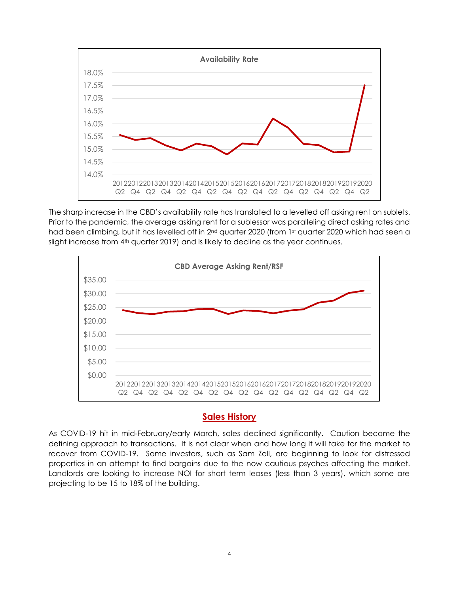

The sharp increase in the CBD's availability rate has translated to a levelled off asking rent on sublets. Prior to the pandemic, the average asking rent for a sublessor was paralleling direct asking rates and had been climbing, but it has levelled off in 2<sup>nd</sup> quarter 2020 (from 1<sup>st</sup> quarter 2020 which had seen a slight increase from 4<sup>th</sup> quarter 2019) and is likely to decline as the year continues.



#### **Sales History**

As COVID-19 hit in mid-February/early March, sales declined significantly. Caution became the defining approach to transactions. It is not clear when and how long it will take for the market to recover from COVID-19. Some investors, such as Sam Zell, are beginning to look for distressed properties in an attempt to find bargains due to the now cautious psyches affecting the market. Landlords are looking to increase NOI for short term leases (less than 3 years), which some are projecting to be 15 to 18% of the building.